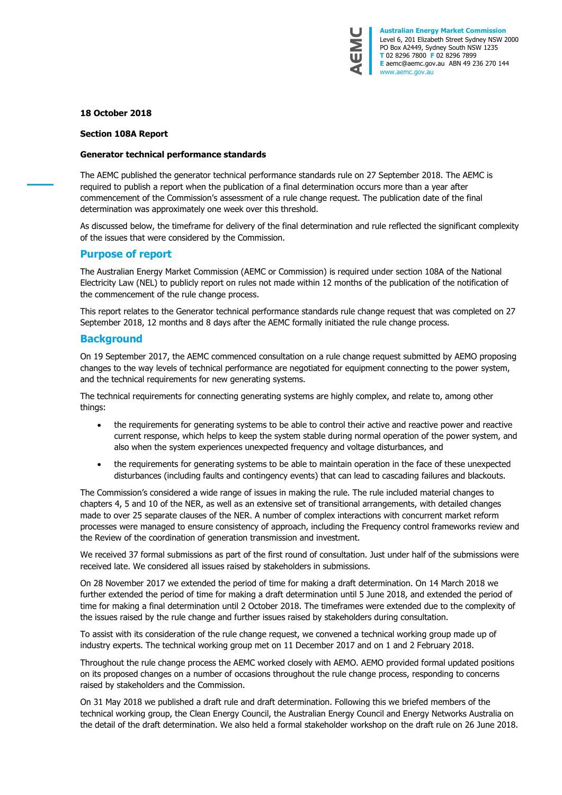

## **18 October 2018**

#### **Section 108A Report**

#### **Generator technical performance standards**

The AEMC published the generator technical performance standards rule on 27 September 2018. The AEMC is required to publish a report when the publication of a final determination occurs more than a year after commencement of the Commission's assessment of a rule change request. The publication date of the final determination was approximately one week over this threshold.

As discussed below, the timeframe for delivery of the final determination and rule reflected the significant complexity of the issues that were considered by the Commission.

## **Purpose of report**

The Australian Energy Market Commission (AEMC or Commission) is required under section 108A of the National Electricity Law (NEL) to publicly report on rules not made within 12 months of the publication of the notification of the commencement of the rule change process.

This report relates to the Generator technical performance standards rule change request that was completed on 27 September 2018, 12 months and 8 days after the AEMC formally initiated the rule change process.

### **Background**

On 19 September 2017, the AEMC commenced consultation on a rule change request submitted by AEMO proposing changes to the way levels of technical performance are negotiated for equipment connecting to the power system, and the technical requirements for new generating systems.

The technical requirements for connecting generating systems are highly complex, and relate to, among other things:

- the requirements for generating systems to be able to control their active and reactive power and reactive current response, which helps to keep the system stable during normal operation of the power system, and also when the system experiences unexpected frequency and voltage disturbances, and
- the requirements for generating systems to be able to maintain operation in the face of these unexpected disturbances (including faults and contingency events) that can lead to cascading failures and blackouts.

The Commission's considered a wide range of issues in making the rule. The rule included material changes to chapters 4, 5 and 10 of the NER, as well as an extensive set of transitional arrangements, with detailed changes made to over 25 separate clauses of the NER. A number of complex interactions with concurrent market reform processes were managed to ensure consistency of approach, including the Frequency control frameworks review and the Review of the coordination of generation transmission and investment.

We received 37 formal submissions as part of the first round of consultation. Just under half of the submissions were received late. We considered all issues raised by stakeholders in submissions.

On 28 November 2017 we extended the period of time for making a draft determination. On 14 March 2018 we further extended the period of time for making a draft determination until 5 June 2018, and extended the period of time for making a final determination until 2 October 2018. The timeframes were extended due to the complexity of the issues raised by the rule change and further issues raised by stakeholders during consultation.

To assist with its consideration of the rule change request, we convened a technical working group made up of industry experts. The technical working group met on 11 December 2017 and on 1 and 2 February 2018.

Throughout the rule change process the AEMC worked closely with AEMO. AEMO provided formal updated positions on its proposed changes on a number of occasions throughout the rule change process, responding to concerns raised by stakeholders and the Commission.

On 31 May 2018 we published a draft rule and draft determination. Following this we briefed members of the technical working group, the Clean Energy Council, the Australian Energy Council and Energy Networks Australia on the detail of the draft determination. We also held a formal stakeholder workshop on the draft rule on 26 June 2018.